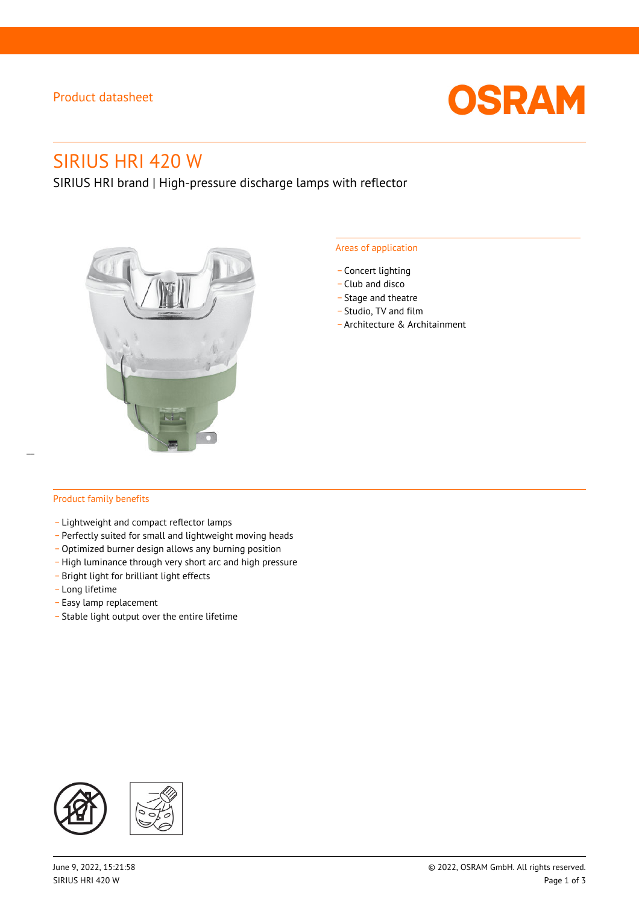### Product datasheet



# SIRIUS HRI 420 W

SIRIUS HRI brand | High-pressure discharge lamps with reflector



#### Areas of application

- Concert lighting
- \_ Club and disco
- Stage and theatre
- \_ Studio, TV and film
- \_ Architecture & Architainment

### Product family benefits

 $\overline{a}$ 

- \_ Lightweight and compact reflector lamps
- \_ Perfectly suited for small and lightweight moving heads
- Optimized burner design allows any burning position
- High luminance through very short arc and high pressure
- \_ Bright light for brilliant light effects
- \_ Long lifetime
- \_ Easy lamp replacement
- \_ Stable light output over the entire lifetime

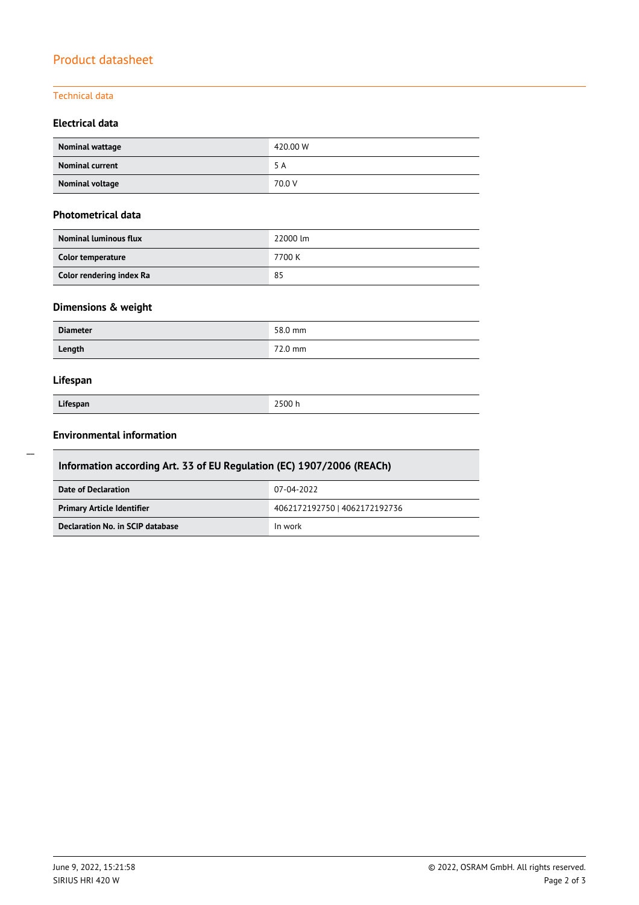## Product datasheet

### Technical data

### **Electrical data**

| Nominal wattage        | 420.00 W |
|------------------------|----------|
| <b>Nominal current</b> | 5 A      |
| Nominal voltage        | 70.0 V   |

### **Photometrical data**

| <b>Nominal luminous flux</b> | 22000 lm |
|------------------------------|----------|
| Color temperature            | 7700 K   |
| Color rendering index Ra     | 85       |

### **Dimensions & weight**

| <b>Diameter</b> | 58.0 mm |
|-----------------|---------|
| Length          | 72.0 mm |

### **Lifespan**

| Lifespan |  |
|----------|--|

**Lifespan** 2500 h

### **Environmental information**

| Information according Art. 33 of EU Regulation (EC) 1907/2006 (REACh) |                               |  |  |
|-----------------------------------------------------------------------|-------------------------------|--|--|
| <b>Date of Declaration</b>                                            | 07-04-2022                    |  |  |
| <b>Primary Article Identifier</b>                                     | 4062172192750   4062172192736 |  |  |
| Declaration No. in SCIP database                                      | In work                       |  |  |